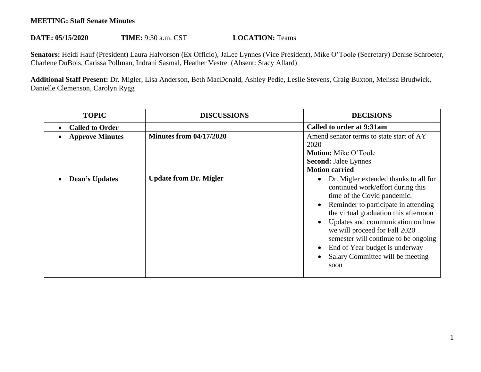## **MEETING: Staff Senate Minutes**

## **DATE: 05/15/2020 TIME:** 9:30 a.m. CST **LOCATION:** Teams

**Senators:** Heidi Hauf (President) Laura Halvorson (Ex Officio), JaLee Lynnes (Vice President), Mike O'Toole (Secretary) Denise Schroeter, Charlene DuBois, Carissa Pollman, Indrani Sasmal, Heather Vestre (Absent: Stacy Allard)

**Additional Staff Present:** Dr. Migler, Lisa Anderson, Beth MacDonald, Ashley Pedie, Leslie Stevens, Craig Buxton, Melissa Brudwick, Danielle Clemenson, Carolyn Rygg

| <b>TOPIC</b>                        | <b>DISCUSSIONS</b>             | <b>DECISIONS</b>                                                                                                                                                                                                                                                                                                                                                                      |
|-------------------------------------|--------------------------------|---------------------------------------------------------------------------------------------------------------------------------------------------------------------------------------------------------------------------------------------------------------------------------------------------------------------------------------------------------------------------------------|
| <b>Called to Order</b><br>$\bullet$ |                                | Called to order at 9:31am                                                                                                                                                                                                                                                                                                                                                             |
| <b>Approve Minutes</b>              | <b>Minutes from 04/17/2020</b> | Amend senator terms to state start of AY<br>2020<br><b>Motion:</b> Mike O'Toole                                                                                                                                                                                                                                                                                                       |
|                                     |                                | <b>Second: Jalee Lynnes</b><br><b>Motion carried</b>                                                                                                                                                                                                                                                                                                                                  |
| Dean's Updates                      | <b>Update from Dr. Migler</b>  | Dr. Migler extended thanks to all for<br>continued work/effort during this<br>time of the Covid pandemic.<br>Reminder to participate in attending<br>the virtual graduation this afternoon<br>Updates and communication on how<br>we will proceed for Fall 2020<br>semester will continue to be ongoing<br>End of Year budget is underway<br>Salary Committee will be meeting<br>soon |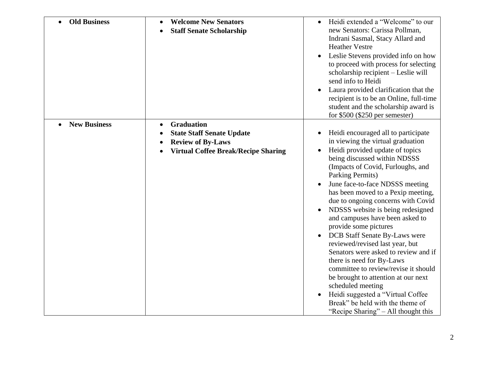| <b>Old Business</b> | <b>Welcome New Senators</b><br><b>Staff Senate Scholarship</b>                                                                  | Heidi extended a "Welcome" to our<br>new Senators: Carissa Pollman,<br>Indrani Sasmal, Stacy Allard and<br><b>Heather Vestre</b><br>Leslie Stevens provided info on how<br>to proceed with process for selecting<br>scholarship recipient - Leslie will<br>send info to Heidi<br>Laura provided clarification that the<br>recipient is to be an Online, full-time<br>student and the scholarship award is<br>for $$500$ (\$250 per semester)                                                                                                                                                                                                                                                                                                                                      |
|---------------------|---------------------------------------------------------------------------------------------------------------------------------|-----------------------------------------------------------------------------------------------------------------------------------------------------------------------------------------------------------------------------------------------------------------------------------------------------------------------------------------------------------------------------------------------------------------------------------------------------------------------------------------------------------------------------------------------------------------------------------------------------------------------------------------------------------------------------------------------------------------------------------------------------------------------------------|
| <b>New Business</b> | <b>Graduation</b><br><b>State Staff Senate Update</b><br><b>Review of By-Laws</b><br><b>Virtual Coffee Break/Recipe Sharing</b> | Heidi encouraged all to participate<br>in viewing the virtual graduation<br>Heidi provided update of topics<br>being discussed within NDSSS<br>(Impacts of Covid, Furloughs, and<br>Parking Permits)<br>June face-to-face NDSSS meeting<br>has been moved to a Pexip meeting,<br>due to ongoing concerns with Covid<br>NDSSS website is being redesigned<br>and campuses have been asked to<br>provide some pictures<br>DCB Staff Senate By-Laws were<br>reviewed/revised last year, but<br>Senators were asked to review and if<br>there is need for By-Laws<br>committee to review/revise it should<br>be brought to attention at our next<br>scheduled meeting<br>Heidi suggested a "Virtual Coffee<br>Break" be held with the theme of<br>"Recipe Sharing" – All thought this |